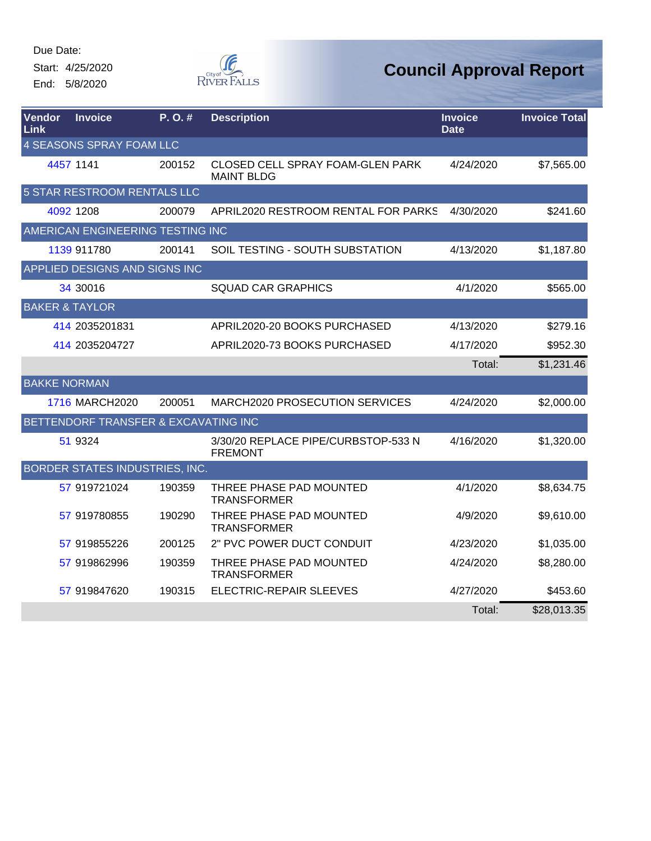Start: 4/25/2020 End: 5/8/2020



| <b>Vendor</b><br>Link     | <b>Invoice</b>                       | P.O.#  | <b>Description</b>                                    | <b>Invoice</b><br><b>Date</b> | <b>Invoice Total</b> |  |  |  |
|---------------------------|--------------------------------------|--------|-------------------------------------------------------|-------------------------------|----------------------|--|--|--|
|                           | 4 SEASONS SPRAY FOAM LLC             |        |                                                       |                               |                      |  |  |  |
|                           | 4457 1141                            | 200152 | CLOSED CELL SPRAY FOAM-GLEN PARK<br><b>MAINT BLDG</b> | 4/24/2020                     | \$7,565.00           |  |  |  |
|                           | <b>5 STAR RESTROOM RENTALS LLC</b>   |        |                                                       |                               |                      |  |  |  |
|                           | 4092 1208                            | 200079 | APRIL2020 RESTROOM RENTAL FOR PARKS                   | 4/30/2020                     | \$241.60             |  |  |  |
|                           | AMERICAN ENGINEERING TESTING INC     |        |                                                       |                               |                      |  |  |  |
|                           | 1139 911780                          | 200141 | SOIL TESTING - SOUTH SUBSTATION                       | 4/13/2020                     | \$1,187.80           |  |  |  |
|                           | APPLIED DESIGNS AND SIGNS INC        |        |                                                       |                               |                      |  |  |  |
|                           | 34 30016                             |        | <b>SQUAD CAR GRAPHICS</b>                             | 4/1/2020                      | \$565.00             |  |  |  |
| <b>BAKER &amp; TAYLOR</b> |                                      |        |                                                       |                               |                      |  |  |  |
|                           | 414 2035201831                       |        | APRIL2020-20 BOOKS PURCHASED                          | 4/13/2020                     | \$279.16             |  |  |  |
|                           | 414 2035204727                       |        | APRIL2020-73 BOOKS PURCHASED                          | 4/17/2020                     | \$952.30             |  |  |  |
|                           |                                      |        |                                                       | Total:                        | \$1,231.46           |  |  |  |
| <b>BAKKE NORMAN</b>       |                                      |        |                                                       |                               |                      |  |  |  |
|                           | 1716 MARCH2020                       | 200051 | MARCH2020 PROSECUTION SERVICES                        | 4/24/2020                     | \$2,000.00           |  |  |  |
|                           | BETTENDORF TRANSFER & EXCAVATING INC |        |                                                       |                               |                      |  |  |  |
|                           | 51 9324                              |        | 3/30/20 REPLACE PIPE/CURBSTOP-533 N<br><b>FREMONT</b> | 4/16/2020                     | \$1,320.00           |  |  |  |
|                           | BORDER STATES INDUSTRIES, INC.       |        |                                                       |                               |                      |  |  |  |
|                           | 57 919721024                         | 190359 | THREE PHASE PAD MOUNTED<br><b>TRANSFORMER</b>         | 4/1/2020                      | \$8,634.75           |  |  |  |
|                           | 57 919780855                         | 190290 | THREE PHASE PAD MOUNTED<br><b>TRANSFORMER</b>         | 4/9/2020                      | \$9,610.00           |  |  |  |
|                           | 57 919855226                         | 200125 | 2" PVC POWER DUCT CONDUIT                             | 4/23/2020                     | \$1,035.00           |  |  |  |
|                           | 57 919862996                         | 190359 | THREE PHASE PAD MOUNTED<br><b>TRANSFORMER</b>         | 4/24/2020                     | \$8,280.00           |  |  |  |
|                           | 57 919847620                         | 190315 | ELECTRIC-REPAIR SLEEVES                               | 4/27/2020                     | \$453.60             |  |  |  |
|                           |                                      |        |                                                       | Total:                        | \$28,013.35          |  |  |  |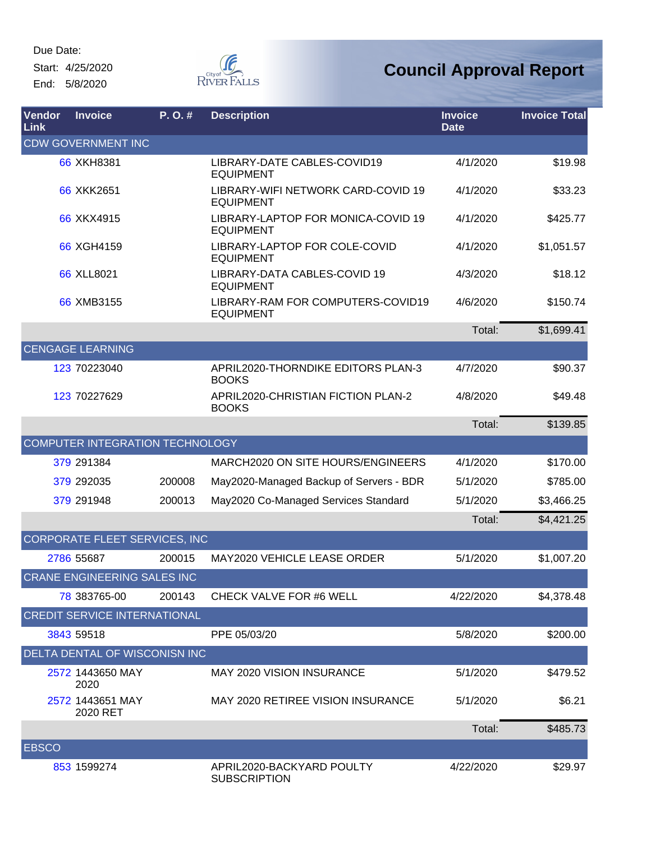Start: 4/25/2020 End: 5/8/2020



| <b>Vendor</b><br>Link | <b>Invoice</b>                       | P.O.#  | <b>Description</b>                                     | <b>Invoice</b><br><b>Date</b> | <b>Invoice Total</b> |  |  |  |
|-----------------------|--------------------------------------|--------|--------------------------------------------------------|-------------------------------|----------------------|--|--|--|
|                       | <b>CDW GOVERNMENT INC</b>            |        |                                                        |                               |                      |  |  |  |
|                       | 66 XKH8381                           |        | LIBRARY-DATE CABLES-COVID19<br><b>EQUIPMENT</b>        | 4/1/2020                      | \$19.98              |  |  |  |
|                       | 66 XKK2651                           |        | LIBRARY-WIFI NETWORK CARD-COVID 19<br><b>EQUIPMENT</b> | 4/1/2020                      | \$33.23              |  |  |  |
|                       | 66 XKX4915                           |        | LIBRARY-LAPTOP FOR MONICA-COVID 19<br><b>EQUIPMENT</b> | 4/1/2020                      | \$425.77             |  |  |  |
|                       | 66 XGH4159                           |        | LIBRARY-LAPTOP FOR COLE-COVID<br><b>EQUIPMENT</b>      | 4/1/2020                      | \$1,051.57           |  |  |  |
|                       | 66 XLL8021                           |        | LIBRARY-DATA CABLES-COVID 19<br><b>EQUIPMENT</b>       | 4/3/2020                      | \$18.12              |  |  |  |
|                       | 66 XMB3155                           |        | LIBRARY-RAM FOR COMPUTERS-COVID19<br><b>EQUIPMENT</b>  | 4/6/2020                      | \$150.74             |  |  |  |
|                       |                                      |        |                                                        | Total:                        | \$1,699.41           |  |  |  |
|                       | <b>CENGAGE LEARNING</b>              |        |                                                        |                               |                      |  |  |  |
|                       | 123 70223040                         |        | APRIL2020-THORNDIKE EDITORS PLAN-3<br><b>BOOKS</b>     | 4/7/2020                      | \$90.37              |  |  |  |
|                       | 123 70227629                         |        | APRIL2020-CHRISTIAN FICTION PLAN-2<br><b>BOOKS</b>     | 4/8/2020                      | \$49.48              |  |  |  |
|                       |                                      |        |                                                        | Total:                        | \$139.85             |  |  |  |
|                       | COMPUTER INTEGRATION TECHNOLOGY      |        |                                                        |                               |                      |  |  |  |
|                       | 379 291384                           |        | MARCH2020 ON SITE HOURS/ENGINEERS                      | 4/1/2020                      | \$170.00             |  |  |  |
|                       | 379 292035                           | 200008 | May2020-Managed Backup of Servers - BDR                | 5/1/2020                      | \$785.00             |  |  |  |
|                       | 379 291948                           | 200013 | May2020 Co-Managed Services Standard                   | 5/1/2020                      | \$3,466.25           |  |  |  |
|                       |                                      |        |                                                        | Total:                        | \$4,421.25           |  |  |  |
|                       | <b>CORPORATE FLEET SERVICES, INC</b> |        |                                                        |                               |                      |  |  |  |
|                       | 2786 55687                           | 200015 | MAY2020 VEHICLE LEASE ORDER                            | 5/1/2020                      | \$1,007.20           |  |  |  |
|                       | CRANE ENGINEERING SALES INC          |        |                                                        |                               |                      |  |  |  |
|                       | 78 383765-00                         | 200143 | CHECK VALVE FOR #6 WELL                                | 4/22/2020                     | \$4,378.48           |  |  |  |
|                       | <b>CREDIT SERVICE INTERNATIONAL</b>  |        |                                                        |                               |                      |  |  |  |
|                       | 3843 59518                           |        | PPE 05/03/20                                           | 5/8/2020                      | \$200.00             |  |  |  |
|                       | DELTA DENTAL OF WISCONISN INC        |        |                                                        |                               |                      |  |  |  |
|                       | 2572 1443650 MAY<br>2020             |        | <b>MAY 2020 VISION INSURANCE</b>                       | 5/1/2020                      | \$479.52             |  |  |  |
|                       | 2572 1443651 MAY<br>2020 RET         |        | MAY 2020 RETIREE VISION INSURANCE                      | 5/1/2020                      | \$6.21               |  |  |  |
|                       |                                      |        |                                                        | Total:                        | \$485.73             |  |  |  |
| <b>EBSCO</b>          |                                      |        |                                                        |                               |                      |  |  |  |
|                       | 853 1599274                          |        | APRIL2020-BACKYARD POULTY<br><b>SUBSCRIPTION</b>       | 4/22/2020                     | \$29.97              |  |  |  |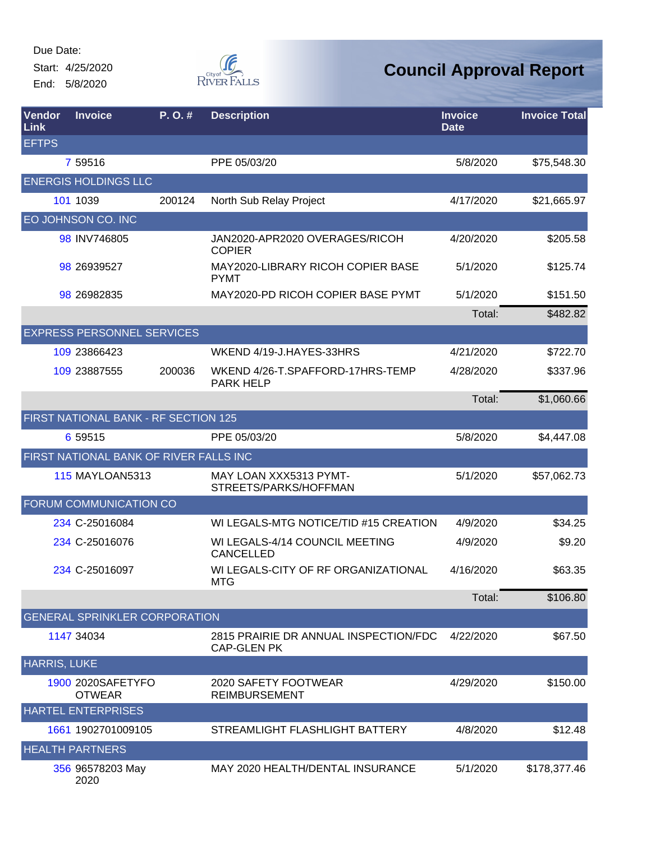Start: 4/25/2020 End: 5/8/2020



| Vendor<br>Link      | <b>Invoice</b>                         | P. O. # | <b>Description</b>                                          | <b>Invoice</b><br><b>Date</b> | <b>Invoice Total</b> |
|---------------------|----------------------------------------|---------|-------------------------------------------------------------|-------------------------------|----------------------|
| <b>EFTPS</b>        |                                        |         |                                                             |                               |                      |
|                     | 7 59516                                |         | PPE 05/03/20                                                | 5/8/2020                      | \$75,548.30          |
|                     | <b>ENERGIS HOLDINGS LLC</b>            |         |                                                             |                               |                      |
|                     | 101 1039                               | 200124  | North Sub Relay Project                                     | 4/17/2020                     | \$21,665.97          |
|                     | EO JOHNSON CO. INC                     |         |                                                             |                               |                      |
|                     | 98 INV746805                           |         | JAN2020-APR2020 OVERAGES/RICOH<br><b>COPIER</b>             | 4/20/2020                     | \$205.58             |
|                     | 98 26939527                            |         | MAY2020-LIBRARY RICOH COPIER BASE<br><b>PYMT</b>            | 5/1/2020                      | \$125.74             |
|                     | 98 26982835                            |         | MAY2020-PD RICOH COPIER BASE PYMT                           | 5/1/2020                      | \$151.50             |
|                     |                                        |         |                                                             | Total:                        | \$482.82             |
|                     | <b>EXPRESS PERSONNEL SERVICES</b>      |         |                                                             |                               |                      |
|                     | 109 23866423                           |         | WKEND 4/19-J.HAYES-33HRS                                    | 4/21/2020                     | \$722.70             |
|                     | 109 23887555                           | 200036  | WKEND 4/26-T.SPAFFORD-17HRS-TEMP<br><b>PARK HELP</b>        | 4/28/2020                     | \$337.96             |
|                     |                                        |         |                                                             | Total:                        | \$1,060.66           |
|                     | FIRST NATIONAL BANK - RF SECTION 125   |         |                                                             |                               |                      |
|                     | 6 59515                                |         | PPE 05/03/20                                                | 5/8/2020                      | \$4,447.08           |
|                     | FIRST NATIONAL BANK OF RIVER FALLS INC |         |                                                             |                               |                      |
|                     | <b>115 MAYLOAN5313</b>                 |         | MAY LOAN XXX5313 PYMT-<br>STREETS/PARKS/HOFFMAN             | 5/1/2020                      | \$57,062.73          |
|                     | FORUM COMMUNICATION CO                 |         |                                                             |                               |                      |
|                     | 234 C-25016084                         |         | WI LEGALS-MTG NOTICE/TID #15 CREATION                       | 4/9/2020                      | \$34.25              |
|                     | 234 C-25016076                         |         | WI LEGALS-4/14 COUNCIL MEETING<br><b>CANCELLED</b>          | 4/9/2020                      | \$9.20               |
|                     | 234 C-25016097                         |         | WI LEGALS-CITY OF RF ORGANIZATIONAL<br><b>MTG</b>           | 4/16/2020                     | \$63.35              |
|                     |                                        |         |                                                             | Total:                        | \$106.80             |
|                     | <b>GENERAL SPRINKLER CORPORATION</b>   |         |                                                             |                               |                      |
|                     | 1147 34034                             |         | 2815 PRAIRIE DR ANNUAL INSPECTION/FDC<br><b>CAP-GLEN PK</b> | 4/22/2020                     | \$67.50              |
| <b>HARRIS, LUKE</b> |                                        |         |                                                             |                               |                      |
|                     | 1900 2020SAFETYFO<br><b>OTWEAR</b>     |         | 2020 SAFETY FOOTWEAR<br><b>REIMBURSEMENT</b>                | 4/29/2020                     | \$150.00             |
|                     | <b>HARTEL ENTERPRISES</b>              |         |                                                             |                               |                      |
|                     | 1661 1902701009105                     |         | STREAMLIGHT FLASHLIGHT BATTERY                              | 4/8/2020                      | \$12.48              |
|                     | <b>HEALTH PARTNERS</b>                 |         |                                                             |                               |                      |
|                     | 356 96578203 May<br>2020               |         | MAY 2020 HEALTH/DENTAL INSURANCE                            | 5/1/2020                      | \$178,377.46         |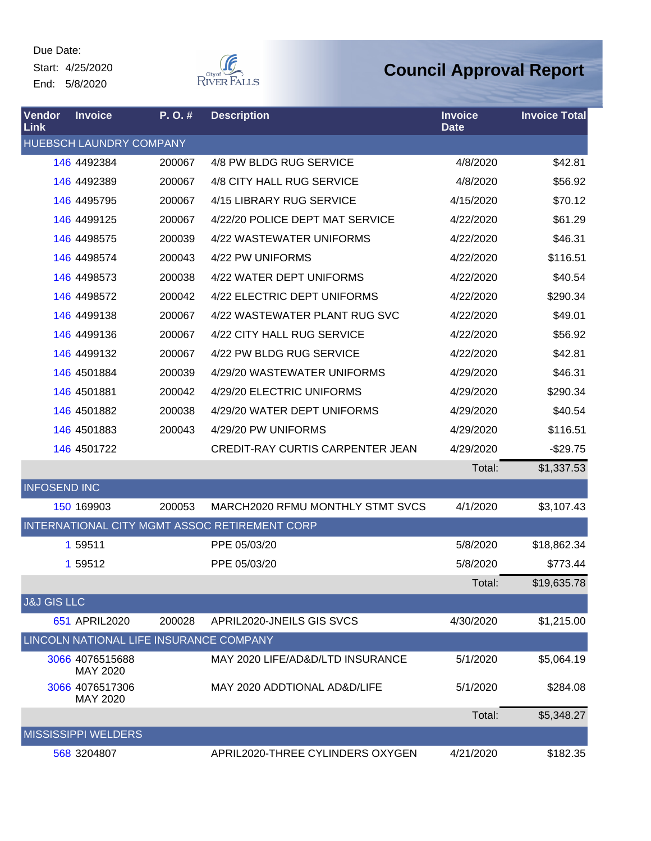Start: 4/25/2020 End: 5/8/2020



| <b>Vendor</b><br>Link  | <b>Invoice</b>                          | P.O.#  | <b>Description</b>                            | <b>Invoice</b><br><b>Date</b> | <b>Invoice Total</b> |
|------------------------|-----------------------------------------|--------|-----------------------------------------------|-------------------------------|----------------------|
|                        | HUEBSCH LAUNDRY COMPANY                 |        |                                               |                               |                      |
|                        | 146 4492384                             | 200067 | 4/8 PW BLDG RUG SERVICE                       | 4/8/2020                      | \$42.81              |
|                        | 146 4492389                             | 200067 | 4/8 CITY HALL RUG SERVICE                     | 4/8/2020                      | \$56.92              |
|                        | 146 4495795                             | 200067 | 4/15 LIBRARY RUG SERVICE                      | 4/15/2020                     | \$70.12              |
|                        | 146 4499125                             | 200067 | 4/22/20 POLICE DEPT MAT SERVICE               | 4/22/2020                     | \$61.29              |
|                        | 146 4498575                             | 200039 | 4/22 WASTEWATER UNIFORMS                      | 4/22/2020                     | \$46.31              |
|                        | 146 4498574                             | 200043 | 4/22 PW UNIFORMS                              | 4/22/2020                     | \$116.51             |
|                        | 146 4498573                             | 200038 | 4/22 WATER DEPT UNIFORMS                      | 4/22/2020                     | \$40.54              |
|                        | 146 4498572                             | 200042 | 4/22 ELECTRIC DEPT UNIFORMS                   | 4/22/2020                     | \$290.34             |
|                        | 146 4499138                             | 200067 | 4/22 WASTEWATER PLANT RUG SVC                 | 4/22/2020                     | \$49.01              |
|                        | 146 4499136                             | 200067 | 4/22 CITY HALL RUG SERVICE                    | 4/22/2020                     | \$56.92              |
|                        | 146 4499132                             | 200067 | 4/22 PW BLDG RUG SERVICE                      | 4/22/2020                     | \$42.81              |
|                        | 146 4501884                             | 200039 | 4/29/20 WASTEWATER UNIFORMS                   | 4/29/2020                     | \$46.31              |
|                        | 146 4501881                             | 200042 | 4/29/20 ELECTRIC UNIFORMS                     | 4/29/2020                     | \$290.34             |
|                        | 146 4501882                             | 200038 | 4/29/20 WATER DEPT UNIFORMS                   | 4/29/2020                     | \$40.54              |
|                        | 146 4501883                             | 200043 | 4/29/20 PW UNIFORMS                           | 4/29/2020                     | \$116.51             |
|                        | 146 4501722                             |        | <b>CREDIT-RAY CURTIS CARPENTER JEAN</b>       | 4/29/2020                     | $-$29.75$            |
|                        |                                         |        |                                               | Total:                        | \$1,337.53           |
| <b>INFOSEND INC</b>    |                                         |        |                                               |                               |                      |
|                        | 150 169903                              | 200053 | MARCH2020 RFMU MONTHLY STMT SVCS              | 4/1/2020                      | \$3,107.43           |
|                        |                                         |        | INTERNATIONAL CITY MGMT ASSOC RETIREMENT CORP |                               |                      |
|                        | 1 59511                                 |        | PPE 05/03/20                                  | 5/8/2020                      | \$18,862.34          |
|                        | 1 59512                                 |        | PPE 05/03/20                                  | 5/8/2020                      | \$773.44             |
|                        |                                         |        |                                               | Total:                        | \$19,635.78          |
| <b>J&amp;J GIS LLC</b> |                                         |        |                                               |                               |                      |
|                        | 651 APRIL2020                           | 200028 | APRIL2020-JNEILS GIS SVCS                     | 4/30/2020                     | \$1,215.00           |
|                        | LINCOLN NATIONAL LIFE INSURANCE COMPANY |        |                                               |                               |                      |
|                        | 3066 4076515688<br>MAY 2020             |        | MAY 2020 LIFE/AD&D/LTD INSURANCE              | 5/1/2020                      | \$5,064.19           |
|                        | 3066 4076517306<br>MAY 2020             |        | MAY 2020 ADDTIONAL AD&D/LIFE                  | 5/1/2020                      | \$284.08             |
|                        |                                         |        |                                               | Total:                        | \$5,348.27           |
|                        | <b>MISSISSIPPI WELDERS</b>              |        |                                               |                               |                      |
|                        | 568 3204807                             |        | APRIL2020-THREE CYLINDERS OXYGEN              | 4/21/2020                     | \$182.35             |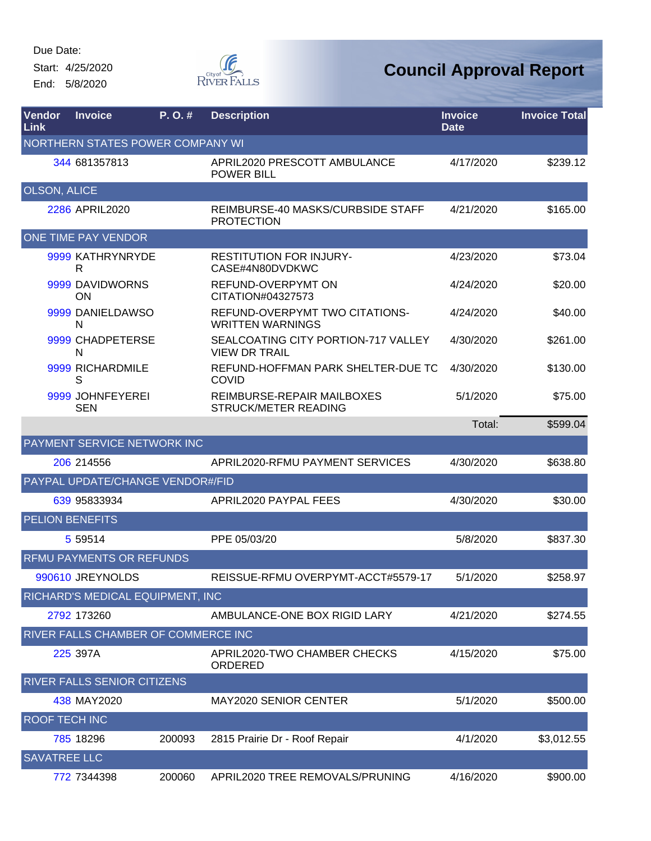Start: 4/25/2020 End: 5/8/2020



| Vendor<br><b>Link</b> | <b>Invoice</b>                      | P.O.#  | <b>Description</b>                                          | <b>Invoice</b><br><b>Date</b> | <b>Invoice Total</b> |
|-----------------------|-------------------------------------|--------|-------------------------------------------------------------|-------------------------------|----------------------|
|                       | NORTHERN STATES POWER COMPANY WI    |        |                                                             |                               |                      |
|                       | 344 681357813                       |        | APRIL2020 PRESCOTT AMBULANCE<br><b>POWER BILL</b>           | 4/17/2020                     | \$239.12             |
| <b>OLSON, ALICE</b>   |                                     |        |                                                             |                               |                      |
|                       | 2286 APRIL2020                      |        | REIMBURSE-40 MASKS/CURBSIDE STAFF<br><b>PROTECTION</b>      | 4/21/2020                     | \$165.00             |
|                       | <b>ONE TIME PAY VENDOR</b>          |        |                                                             |                               |                      |
|                       | 9999 KATHRYNRYDE<br>R               |        | <b>RESTITUTION FOR INJURY-</b><br>CASE#4N80DVDKWC           | 4/23/2020                     | \$73.04              |
|                       | 9999 DAVIDWORNS<br><b>ON</b>        |        | REFUND-OVERPYMT ON<br>CITATION#04327573                     | 4/24/2020                     | \$20.00              |
|                       | 9999 DANIELDAWSO<br>N               |        | REFUND-OVERPYMT TWO CITATIONS-<br><b>WRITTEN WARNINGS</b>   | 4/24/2020                     | \$40.00              |
|                       | 9999 CHADPETERSE<br>N               |        | SEALCOATING CITY PORTION-717 VALLEY<br><b>VIEW DR TRAIL</b> | 4/30/2020                     | \$261.00             |
|                       | 9999 RICHARDMILE<br>S               |        | REFUND-HOFFMAN PARK SHELTER-DUE TC<br><b>COVID</b>          | 4/30/2020                     | \$130.00             |
|                       | 9999 JOHNFEYEREI<br><b>SEN</b>      |        | REIMBURSE-REPAIR MAILBOXES<br>STRUCK/METER READING          | 5/1/2020                      | \$75.00              |
|                       |                                     |        |                                                             | Total:                        | \$599.04             |
|                       | <b>PAYMENT SERVICE NETWORK INC</b>  |        |                                                             |                               |                      |
|                       | 206 214556                          |        | APRIL2020-RFMU PAYMENT SERVICES                             | 4/30/2020                     | \$638.80             |
|                       | PAYPAL UPDATE/CHANGE VENDOR#/FID    |        |                                                             |                               |                      |
|                       | 639 95833934                        |        | APRIL2020 PAYPAL FEES                                       | 4/30/2020                     | \$30.00              |
|                       | <b>PELION BENEFITS</b>              |        |                                                             |                               |                      |
|                       | 5 5 9 5 1 4                         |        | PPE 05/03/20                                                | 5/8/2020                      | \$837.30             |
|                       | <b>RFMU PAYMENTS OR REFUNDS</b>     |        |                                                             |                               |                      |
|                       | 990610 JREYNOLDS                    |        | REISSUE-RFMU OVERPYMT-ACCT#5579-17                          | 5/1/2020                      | \$258.97             |
|                       | RICHARD'S MEDICAL EQUIPMENT, INC    |        |                                                             |                               |                      |
|                       | 2792 173260                         |        | AMBULANCE-ONE BOX RIGID LARY                                | 4/21/2020                     | \$274.55             |
|                       | RIVER FALLS CHAMBER OF COMMERCE INC |        |                                                             |                               |                      |
|                       | 225 397A                            |        | APRIL2020-TWO CHAMBER CHECKS<br>ORDERED                     | 4/15/2020                     | \$75.00              |
|                       | RIVER FALLS SENIOR CITIZENS         |        |                                                             |                               |                      |
|                       | 438 MAY2020                         |        | MAY2020 SENIOR CENTER                                       | 5/1/2020                      | \$500.00             |
| <b>ROOF TECH INC</b>  |                                     |        |                                                             |                               |                      |
|                       | 785 18296                           | 200093 | 2815 Prairie Dr - Roof Repair                               | 4/1/2020                      | \$3,012.55           |
| <b>SAVATREE LLC</b>   |                                     |        |                                                             |                               |                      |
|                       | 772 7344398                         | 200060 | APRIL2020 TREE REMOVALS/PRUNING                             | 4/16/2020                     | \$900.00             |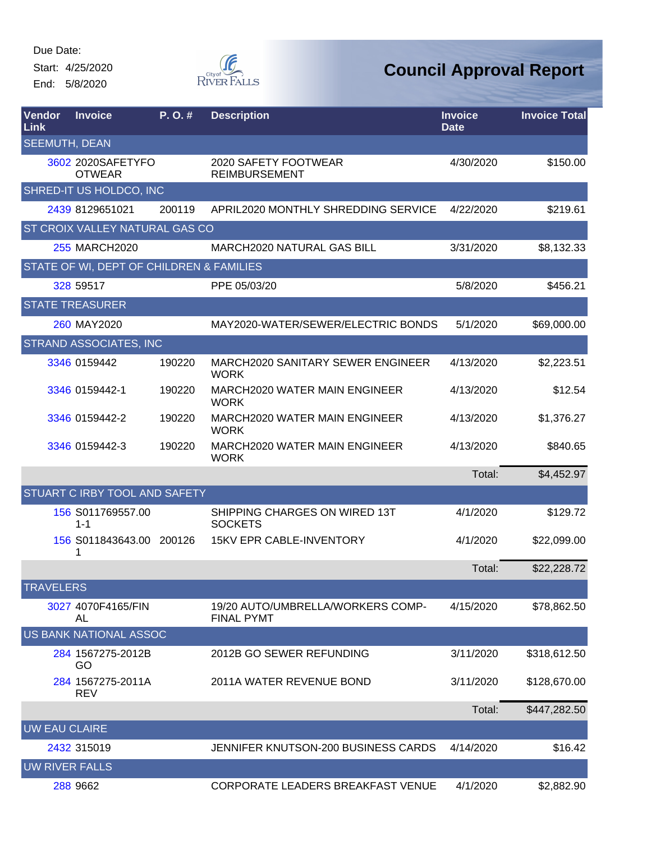Start: 4/25/2020

End: 5/8/2020



| Vendor<br><b>Link</b> | <b>Invoice</b>                           | P. O. # | <b>Description</b>                                     | <b>Invoice</b><br><b>Date</b> | <b>Invoice Total</b> |
|-----------------------|------------------------------------------|---------|--------------------------------------------------------|-------------------------------|----------------------|
| <b>SEEMUTH, DEAN</b>  |                                          |         |                                                        |                               |                      |
|                       | 3602 2020SAFETYFO<br><b>OTWEAR</b>       |         | 2020 SAFETY FOOTWEAR<br><b>REIMBURSEMENT</b>           | 4/30/2020                     | \$150.00             |
|                       | SHRED-IT US HOLDCO, INC                  |         |                                                        |                               |                      |
|                       | 2439 8129651021                          | 200119  | APRIL2020 MONTHLY SHREDDING SERVICE                    | 4/22/2020                     | \$219.61             |
|                       | ST CROIX VALLEY NATURAL GAS CO           |         |                                                        |                               |                      |
|                       | 255 MARCH2020                            |         | <b>MARCH2020 NATURAL GAS BILL</b>                      | 3/31/2020                     | \$8,132.33           |
|                       | STATE OF WI, DEPT OF CHILDREN & FAMILIES |         |                                                        |                               |                      |
|                       | 328 59517                                |         | PPE 05/03/20                                           | 5/8/2020                      | \$456.21             |
|                       | <b>STATE TREASURER</b>                   |         |                                                        |                               |                      |
|                       | 260 MAY2020                              |         | MAY2020-WATER/SEWER/ELECTRIC BONDS                     | 5/1/2020                      | \$69,000.00          |
|                       | <b>STRAND ASSOCIATES, INC</b>            |         |                                                        |                               |                      |
|                       | 3346 0159442                             | 190220  | MARCH2020 SANITARY SEWER ENGINEER<br><b>WORK</b>       | 4/13/2020                     | \$2,223.51           |
|                       | 3346 0159442-1                           | 190220  | <b>MARCH2020 WATER MAIN ENGINEER</b><br><b>WORK</b>    | 4/13/2020                     | \$12.54              |
|                       | 3346 0159442-2                           | 190220  | <b>MARCH2020 WATER MAIN ENGINEER</b><br><b>WORK</b>    | 4/13/2020                     | \$1,376.27           |
|                       | 3346 0159442-3                           | 190220  | <b>MARCH2020 WATER MAIN ENGINEER</b><br><b>WORK</b>    | 4/13/2020                     | \$840.65             |
|                       |                                          |         |                                                        | Total:                        | \$4,452.97           |
|                       | <b>STUART C IRBY TOOL AND SAFETY</b>     |         |                                                        |                               |                      |
|                       | 156 S011769557.00<br>$1 - 1$             |         | SHIPPING CHARGES ON WIRED 13T<br><b>SOCKETS</b>        | 4/1/2020                      | \$129.72             |
|                       | 156 S011843643.00 200126<br>1            |         | <b>15KV EPR CABLE-INVENTORY</b>                        | 4/1/2020                      | \$22,099.00          |
|                       |                                          |         |                                                        | Total:                        | \$22,228.72          |
| <b>TRAVELERS</b>      |                                          |         |                                                        |                               |                      |
|                       | 3027 4070F4165/FIN<br>AL                 |         | 19/20 AUTO/UMBRELLA/WORKERS COMP-<br><b>FINAL PYMT</b> | 4/15/2020                     | \$78,862.50          |
|                       | US BANK NATIONAL ASSOC                   |         |                                                        |                               |                      |
|                       | 284 1567275-2012B<br>GO                  |         | 2012B GO SEWER REFUNDING                               | 3/11/2020                     | \$318,612.50         |
|                       | 284 1567275-2011A<br><b>REV</b>          |         | 2011A WATER REVENUE BOND                               | 3/11/2020                     | \$128,670.00         |
|                       |                                          |         |                                                        | Total:                        | \$447,282.50         |
| <b>UW EAU CLAIRE</b>  |                                          |         |                                                        |                               |                      |
|                       | 2432 315019                              |         | JENNIFER KNUTSON-200 BUSINESS CARDS                    | 4/14/2020                     | \$16.42              |
| <b>UW RIVER FALLS</b> |                                          |         |                                                        |                               |                      |
|                       | 288 9662                                 |         | CORPORATE LEADERS BREAKFAST VENUE                      | 4/1/2020                      | \$2,882.90           |